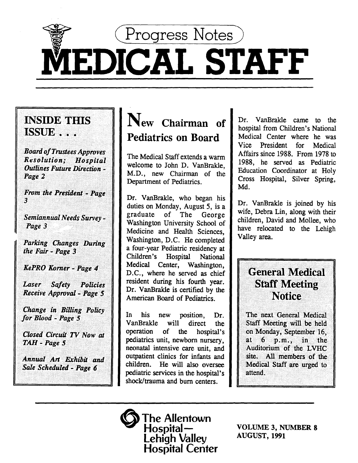(Progress Notes)

# MEDICAL STAFF

### INSIDE THIS ISSUE ...

Board of Trustees Approves *Resolution£ Hospital*  ·•··• *tJutlines Future Direction* ~. <sup>&</sup>gt; Page 2

From the President - Page

3<br><br>Semiannual Needs Survev -**Page 3** 

Parking Changes During<br>the Fair - Page 3

*KePRO Korner - Page 4* 

*Laser* Safety Policies *Receive Approval - Page 5* 

Change in Billing Policy for Blood - Page 5

Closed Circuit TV Now at<br>TAH - Page 5

Annual Art Exhibit and Sale Scheduled - Page 6

## New Chairman of Pediatrics on Board

The Medical Staff extends a warm welcome to John D. VanBrakle, M.D., new Chairman of the Department of Pediatrics.

Dr. VanBrakle, who began his duties on Monday, August 5, is a graduate of The George Washington University School of Medicine and Health Sciences,<br>Washington, D.C. He completed a four-year Pediatric residency at Children's Hospital National Medical Center, Washington, D.C., where he served as chief resident during his fourth year. Dr. VanBrakle is certified by the American Board of Pediatrics.

In his new position, Dr. VanBrakle will direct the operation of the hospital's pediatrics unit, newborn nursery, neonatal intensive care unit, and outpatient clinics for infants and children. He will also oversee pediatric services in the hospital's shock/trauma and bum centers.

Dr. VanBrakle came to the hospital from Children's National Medical Center where he was Vice President for Medical Affairs since 1988. From 1978 to 1988, he served as Pediatric Education Coordinator at Holy Cross Hospital, Silver Spring, Md.

Dr. VanBrakle is joined by his wife, Debra Lin, along with their children, David and Mollee, who have relocated to the Lehigh Valley area.

### **General Medical Staff Meeting Notice**

The next General Medical Staff Meeting will be held on Monday, September 16, at  $6$   $p.m.,$  in the Auditorium of the LVHC site. All members of the Medical Staff are urged to<br>attend.



VOLUME 3, NUMBER 8 AUGUST, 1991

•••····•·••···. > ....•••...•..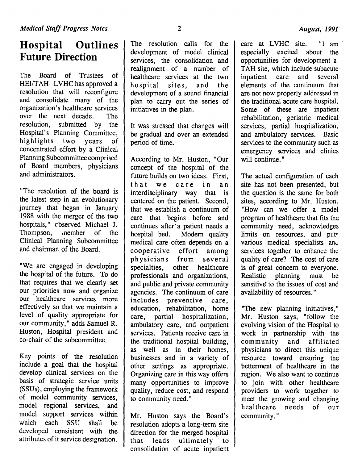### **Hospital Outlines Future Direction**

The Board of Trustees of HEI/TAH--LVHC has approved a resolution that will reconfigure and consolidate many of the organization's healthcare services over the next decade. The resolution, submitted by the Hospital's Planning Committee, highlights two years of concentrated effort by a Clinical Planning Subcommittee comprised of Board members, physicians and administrators.

"The resolution of the board is the latest step in an evolutionary journey that began in January 1988 with the merger of the two hospitals," cbserved Michael J. Thompson, .nember of the Clinical Planning Subcommittee and chairman of the Board.

"We are engaged in developing the hospital of the future. To do that requires that we clearly set our priorities now and organize our healthcare services more effectively so that we maintain a level of quality appropriate for our community," adds Samuel R. Huston, Hospital president and co-chair of the subcommittee.

Key points of the resolution include a goal that the hospital develop clinical services on the basis of strategic service units (SSUs), employing the framework of model community services, model regional services, and model support services within which each SSU shall be developed consistent with the attributes of it service designation.

The resolution calls for the development of model clinical services, the consolidation and realignment of a number of healthcare services at the two hospital sites, and the development of a sound financial plan to carry out the series of initiatives in the plan.

It was stressed that changes will be gradual and over an extended period of time.

According to Mr. Huston, "Our concept of the hospital of the future builds on two ideas. First, that we care in an interdisciplinary way that is centered on the patient. Second, that we establish a continuum of care that begins before and continues after a patient needs a hospital bed. Modem quality medical care often depends on a cooperative effort among physicians from several<br>specialties, other healthcare other healthcare professionals and organizations, and public and private community agencies. The continuum of care includes preventive care, education, rehabilitation, home care, partial hospitalization, ambulatory care, and outpatient services. Patients receive care in the traditional hospital building, as well as in their homes, businesses and in a variety of other settings as appropriate. Organizing care in this way offers many opportunities to improve quality, reduce cost, and respond to community need."

Mr. Huston says the Board's resolution adopts a long-term site direction for the merged hospital that leads ultimately to consolidation of acute inpatient care at LVHC site. "I am especially excited about the opportunities for development a TAH site, which include subacute inpatient care and several elements of the continuum that are not now properly addressed in the traditional acute care hospital. Some of these are inpatient rehabilitation, geriatric medical services, partial hospitalization, and ambulatory services. Basic services to the community such as emergency services and clinics will continue."

The actual configuration of each site has not been presented, but the question is the same for both sites, according to Mr. Huston. "How can we offer a model program of healthcare that fits the community need, acknowledges limits on resources, and puts various medical specialists and services together to enhance the quality of care? The cost of care is of great concern to everyone. Realistic planning must be sensitive to the issues of cost and availability of resources."

"The new planning initiatives," Mr. Huston says, "follow the evolving vision of the Hospital to work in partnership with the community and affiliated physicians to direct this unique resource toward ensuring the betterment of healthcare in the region. We also want to continue to join with other healthcare providers to work together to meet the growing and changing healthcare needs of our community."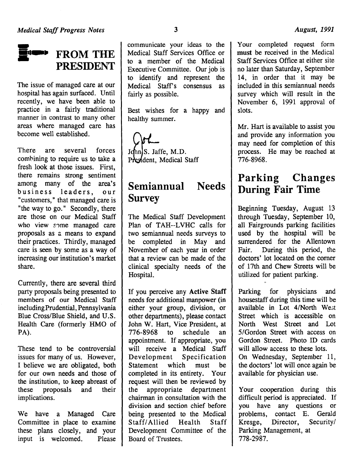

The issue of managed care at our hospital has again surfaced. Until recently, we have been able to practice in a fairly traditional manner in contrast to many other areas where managed care has become well established.

There are several forces combining to require us to take a fresh look at those issues. First, there remains strong sentiment among many of the area's business leaders, our "customers," that managed care is "the way to go." Secondly, there are those on our Medical Staff who view some managed care proposals as a means to expand their practices. Thirdly, managed care is seen by some as a way of increasing our institution's market share.

Currently, there are several third party proposals being presented to members of our Medical Staff including Prudential, Pennsylvania Blue Cross/Blue Shield, and U.S. Health Care (formerly HMO of PA).

These tend to be controversial issues for many of us. However, I believe we are obligated, both for our own needs and those of the institution, to keep abreast of these proposals and their implications.

We have a Managed Care Committee in place to examine these plans closely, and your input is welcomed. Please

communicate your ideas to the Medical Staff Services Office or to a member of the Medical Executive Committee. Our job is to identify and represent the Medical Staff's consensus as fairly as possible.

Best wishes for a happy and healthy summer.

John S. Jaffe, M.D.<br>President, Medical Staff

#### **Semiannual Survey Needs**

The Medical Staff Development Plan of TAH--LVHC calls for two semiannual needs surveys to be completed in May and November of each year in order that a review can be made of the clinical specialty needs of the Hospital.

If you perceive any Active Staff needs for additional manpower (in either your group, division, or other departments), please contact John W. Hart, Vice President, at 776-8968 to schedule an appointment. If appropriate, you will receive a Medical Staff Development Specification Statement which must be completed in its entirety. Your request will then be reviewed by the appropriate department chairman in consultation with the division and section chief before being presented to the Medical Staff/ Allied Health Staff Development Committee of the Board of Trustees.

Your completed request form must be received in the Medical Staff Services Office at either site no later than Saturday, September 14, in order that it may be included in this semiannual needs survey which will result in the November 6, 1991 approval of slots.

Mr. Hart is available to assist you and provide any information you may need for completion of this process. He may be reached at 776-8968.

### **Parking Changes During Fair Time**

Beginning Tuesday, August 13 through Tuesday, September 10, all Fairgrounds parking facilities used by the hospital will be surrendered for the Allentown Fair. During this period, the doctors' lot located on the comer of 17th and Chew Streets will be utilized for patient parking.

Parking for physicians and housestaff during this time will be available in Lot 4/North West Street which is accessible on North West Street and Lot 5/Gordon Street with access on Gordon Street. Photo ID cards will allow access to these lots. On Wednesday, September 11, the doctors' lot will once again be available for physician use.

Your cooperation during this difficult period is appreciated. If you have any questions or problems, contact E. Gerald Kresge, Director, Security/ Parking Management, at 778-2987.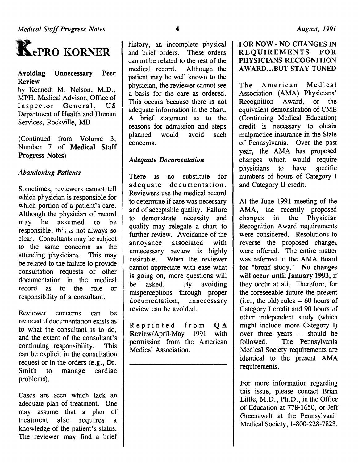

Avoiding Unnecessary Peer Review

by Kenneth M. Nelson, M.D., MPH, Medical Advisor, Office of Inspector General, US Department of Health and Human Services, Rockville, MD

(Continued from Volume 3,<br>Number 7 of Medical Staff Progress Notes)

### *Abandoning Patients*

Sometimes, reviewers cannot tell which physician is responsible for which portion of a patient's care. Although the physician of record may be assumed to be responsible, the  $\mu$  is not always so clear. Consultants may be subject to the same concerns as the attending physicians. This may be related to the failure to provide consultation requests or other documentation in the medical record as to the role or responsibility of a consultant.

Reviewer concerns can be reduced if documentation exists as to what the consultant is to do, and the extent of the consultant's continuing responsibility. This can be explicit in the consultation request or in the orders (e.g., Dr. Smith to manage cardiac problems).

Cases are seen which lack an adequate plan of treatment. One may assume that a plan of treatment also requires a knowledge of the patient's status. The reviewer may find a brief

history, an incomplete physical and brief orders. These orders cannot be related to the rest of the medical record. Although the patient may be well known to the physician, the reviewer cannot see a basis for the care as ordered. This occurs because there is not adequate information in the chart. A brief statement as to the reasons for admission and steps planned would avoid such concerns.

### *Adequate Documentation*

There is no substitute for adequate documentation. Reviewers use the medical record to determine if care was necessary and of acceptable quality. Failure to demonstrate necessity and quality may relegate a chart to further review. Avoidance of the annoyance associated with unnecessary review is highly desirable. When the reviewer cannot appreciate with ease what is going on, more questions will be asked. By avoiding misperceptions through proper documentation, unnecessary review can be avoided.

Reprinted from QA<br>Review/April-May 1991 with Review/April-May 1991 permission from the American Medical Association.

### FOR NOW- NO CHANGES IN REQUIREMENTS FOR PHYSICIANS RECOGNITION AWARD...BUT STAY TUNED

The American Medical Association (AMA) Physicians' Recognition Award, or the equivalent demonstration of CME (Continuing Medical Education) credit is necessary to obtain malpractice insurance in the State of Pennsylvania. Over the past year, the AMA has proposed changes which would require physicians to have specific numbers of hours of Category I and Category II credit.

At the June 1991 meeting of the AMA, the recently proposed changes in the Physician Recognition Award requirements were considered. Resolutions to reverse the proposed changes were offered. The entire matter was referred to the AMA Board for "broad study." No changes will occur until January 1993, if they occur at all. Therefore, for the foreseeable future the present (i.e., the old) rules -- 60 hours of Category I credit and 90 hours of other independent study (which might include more Category I) over three years -- should be<br>followed. The Pennsylvania The Pennsylvania Medical Society requirements are identical to the present AMA requirements.

For more information regarding this issue, please contact Brian Little, M.D., Ph.D., in the Office of Education at 778-1650, or Jeff Greenawalt at the Pennsylvani· Medical Society, 1-800-228-7823.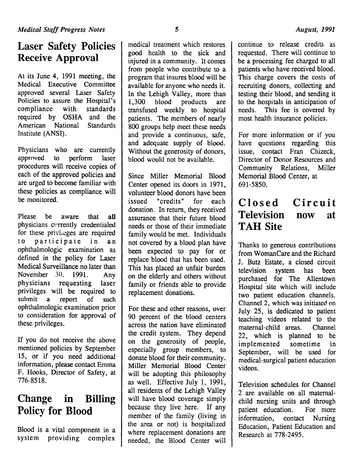### **Laser Safety Policies Receive Approval**

At its June 4, 1991 meeting, the Medical Executive Committee approved several Laser Safety Policies to assure the Hospital's compliance with standards required by OSHA and the American National Standards Institute (ANSI).

Physicians who are currently approved to perform laser procedures will receive copies of each of the approved policies and are urged to become familiar with these policies as compliance will be monitored.

Please be aware that all physicians cyrrently credentialed for these privileges are required to participate in an ophthalmologic examination as defined in the policy for Laser Medical Surveillance no later than November 30, 1991. Any physicians requesting laser privileges will be required to submit a report of such ophthalmologic examination prior to consideration for approval of these privileges.

If you do not receive the above mentioned policies by September 15, or if you need additional information, please contact Emma F. Hooks, Director of Safety, at 776-8518.

### **Change in Billing Policy for Blood**

Blood is a vital component in a system providing complex

medical treatment which restores good health to the sick and injured in a community. It comes from people who contribute to a program that insures blood will be available for anyone who needs it. In the Lehigh Valley, more than 1,300 blood products are transfused weekly to hospital patients. The members of nearly 800 groups help meet these needs and provide a continuous, safe, and adequate supply of blood. Without the generosity of donors, blood would not be available.

Since Miller Memorial Blood Center opened its doors in 1971, volunteer blood donors have been issued "credits" for each donation. In return, they received assurance that their future blood needs or those of their immediate family would be met. Individuals not covered by a blood plan have been expected to pay for or replace blood that has been used. This has placed an unfair burden on the elderly and others without family or friends able to provide replacement donations.

For these and other reasons, over 90 percent of the blood centers across the nation have eliminated the credit system. They depend on the generosity of people, especially group members, to donate blood for their community. Miller Memorial Blood Center will be adopting this philosophy as well. Effective July 1, 1991, all residents of the Lehigh Valley will have blood coverage simply because they live here. If any member of the family (living in the area or not) is hospitalized where replacement donations are needed, the Blood Center will

continue to release credits as requested. There will continue to be a processing fee charged to all patients who have received blood. This charge covers the costs of recruiting donors, collecting and testing their blood, and sending it to the hospitals in anticipation of needs. This fee is covered by most health insurance policies.

For more information or if you have questions regarding this issue, contact Fran Chizeck, Director of Donor Resources and Community Relations, Miller Memorial Blood Center, at 691-5850.

### **Closed Circuit Television TAH Site now at**

Thanks to generous contributions from WomanCare and the Richard J. Butz Estate, a closed circuit television system has been purchased for The Allentown Hospital site which will include two patient education channels. Channel 2, which was initiated on July 25, is dedicated to patient teaching videos related to the maternal-child areas. Channel 22, which is planned to be implemented sometime in September, will be used for medical-surgical patient education videos.

Television schedules for Channel 2 are available on all maternalchild nursing units and through patient education. For more information, contact Nursing Education, Patient Education and Research at 778-2495.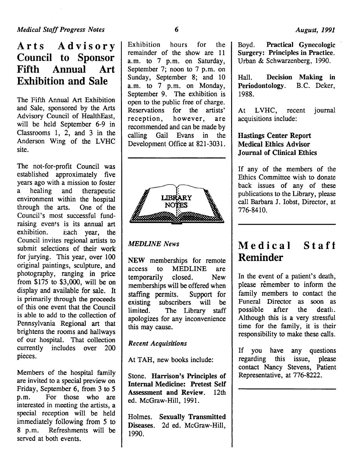### Arts Advisory Council to Sponsor Fifth Annual Art Exhibition and Sale

The Fifth Annual Art Exhibition and Sale, sponsored by the Arts Advisory Council of HealthEast, will be held September 6-9 in Classrooms 1, 2, and 3 in the Anderson Wing of the LVHC site.

The not-for-profit Council was established approximately five years ago with a mission to foster a healing and therapeutic environment within the hospital through the arts. One of the Council's most successful fundraising events is its annual art<br>exhibition. Each vear, the Each year, the Council invites regional artists to submit selections of their work for jurying. This year, over 100 original paintings, sculpture, and photography, ranging in price from \$175 to \$3,000, will be on display and available for sale. It is primarily through the proceeds of this one event that the Council is able to add to the collection of Pennsylvania Regional art that brightens the rooms and hallways of our hospital. That collection currently includes over 200 pieces.

Members of the hospital family are invited to a special preview on Friday, September 6, from 3 to 5 p.m. For those who are interested in meeting the artists, a special reception will be held immediately following from 5 to 8 p.m. Refreshments will be served at both events.

Exhibition hours for the remainder of the show are 11 a.m. to 7 p.m. on Saturday, September 7; noon to 7 p.m. on Sunday, September 8; and 10 a.m. to 7 p.m. on Monday, September 9. The exhibition is open to the public free of charge. Reservations for the artists' reception, however, are recommended and can be made by calling Gail Evans in the Development Office at 821-3031.



### *MEDLINE News*

NEW memberships for remote access to MEDLINE are temporarily closed. New memberships will be offered when staffing permits. Support for existing subscribers will be limited. The Library staff apologizes for any inconvenience this may cause.

#### *Recent Acquisitions*

At TAH, new books include:

Stone. Harrison's Principles of Internal Medicine: Pretest Self Assessment and Review. 12th ed. McGraw-Hill, 1991.

Holmes. Sexually Transmitted Diseases. 2d ed. McGraw-Hill, 1990.

Boyd. Practical Gynecologic Surgery: Principles in Practice. Urban & Schwarzenberg, 1990.

Hall. Decision Making in Periodontology. B.C. Deker, 1988.

At LVHC, recent journal acquisitions include:

### Hastings Center Report Medical Ethics Advisor Journal of Clinical Ethics

If any of the members of the Ethics Committee wish to donate back issues of any of these publications to the Library, please call Barbara I. Jobst, Director, at 776-8410.

### Medical Staff Reminder

In the event of a patient's death, please remember to inform the family members to contact the Funeral Director as soon as possible after the death. Although this is a very stressful time for the family, it is their responsibility to make these calls.

If you have any questions<br>regarding this issue, please this issue, please contact Nancy Stevens, Patient Representative, at 776-8222.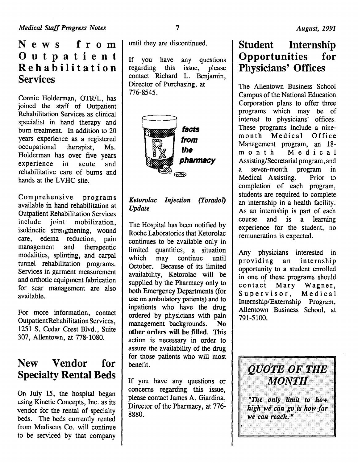### News from Outpatient Rehabilitation Services

Connie Holderman, OTR/L, has joined the staff of Outpatient Rehabilitation Services as clinical specialist in hand therapy and bum treatment. In addition to 20 years experience as a registered occupational therapist, Ms. Holderman has over five years experience in acute and rehabilitative care of bums and hands at the LVHC site.

Comprehensive programs available in hand rehabilitation at Outpatient Rehabilitation Services include joint mobilization, isokinetic stre:igthening, wound care, edema reduction, pain management and therapeutic modalities, splinting, and carpal tunnel rehabilitation programs. Services in garment measurement and orthotic equipment fabrication for scar management are also available.

For more information, contact OutpatientRehabilitation Services, 1251 S. Cedar Crest Blvd., Suite 307, Allentown, at 778-1080.

### New Vendor for Specialty Rental Beds

On July 15, the hospital began using Kinetic Concepts, Inc. as its vendor for the rental of specialty beds. The beds currently rented from Mediscus Co. will continue to be serviced by that company

until they are discontinued.

If you have any questions<br>regarding this issue, please regarding contact Richard L. Benjamin, Director of Purchasing, at 776-8545.



### *Ketorolac Injection (Toradol) Update*

The Hospital has been notified by Roche Laboratories that Ketorolac continues to be available only in limited quantities, a situation which may continue until October. Because of its limited availability, Ketorolac will be supplied by the Pharmacy only to both Emergency Departments (for use on ambulatory patients) and to inpatients who have the drug ordered by physicians with pain management backgrounds. No other orders will be filled. This action is necessary in order to assure the availability of the drug for those patients who will most benefit.

If you have any questions or concerns regarding this issue, please contact James A. Giardina, Director of the Pharmacy, at 776- 8880.

### Student Internship Opportunities for Physicians' Offices

The Allentown Business School Campus of the National Education Corporation plans to offer three programs which may be of interest to physicians' offices. These programs include a ninemonth Medical Office Management program, an 18 month Medical Assisting/Secretarial program, and a seven-month program in Medical Assisting. Prior to completion of each program, students are required to complete an internship in a health facility. As an internship is part of each course and is a learning experience for the student, no remuneration is expected.

Any physicians interested in providing an internship opportunity to a student enrolled in one of these programs should contact Mary Wagner,<br>Supervisor, Medical Supervisor, Internship/Externship Program, Allentown Business School, at 791-5100.

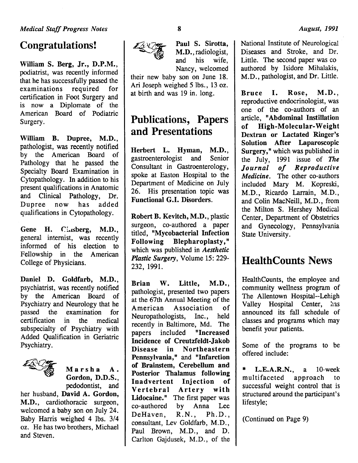### Congratulations!

William S. Berg, Jr., D.P.M., podiatrist, was recently informed that he has successfully passed the examinations required for certification in Foot Surgery and is now a Diplomate of the American Board of Podiatric Surgery.

William B. Dupree, M.D., pathologist, was recently notified by the American Board of Pathology that he passed the Specialty Board Examination in Cytopathology. In addition to his present qualifications in Anatomic and Clinical Pathology, Dr. Dupree now has added qualifications in Cytopathology.

Gene H. Ginsberg, M.D., general internist, was recently informed of his election to Fellowship in the American College of Physicians.

Daniel D. Goldfarb, M.D., psychiatrist, was recently notified by the American Board of Psychiatry and Neurology that he passed the examination for certification in the medical subspecialty of Psychiatry with Added Qualification in Geriatric Psychiatry.



Marsha A. Gordon, D.D.S., pedodontist, and

her husband, David A. Gordon, M.D., cardiothoracic surgeon, welcomed a baby son on July 24. Baby Harris weighed 4 lbs. 3/4 oz. He has two brothers, Michael and Steven.



Paul S. Sirotta,<br>M.D., radiologist, and his wife, Nancy, welcomed

their new baby son on June 18. Ari Joseph weighed 5 lbs., 13 oz. at birth and was 19 in. long.

### Publications, Papers and Presentations

Herbert L. Hyman, M.D., gastroenterologist and Senior Consultant in Gastroenterology, spoke at Easton Hospital to the Department of Medicine on July 26. His presentation topic was Functional G.I. Disorders.

Robert B. Kevitch, M.D., plastic surgeon, co-authored a paper titled, "Mycobacterial Infection Following Blepharoplasty," which was published in *Aesthetic Plastic Surgery,* Volume 15: 229- 232, 1991.

Brian W. Little, M.D., pathologist, presented two papers at the 67th Annual Meeting of the American Association of Neuropathologists, Inc., held recently in Baltimore, Md. The papers included "Increased Incidence of Creutzfeldt-Jakob Disease in Northeastern Pennsylvania," and "Infarction of Brainstem, Cerebellum and Posterior Thalamus following Inadvertent Injection of Vertebral Artery with Lidocaine." The first paper was co-authored by Anna Lee DeHaven, R.N., Ph.D., consultant, Lev Goldfarb, M.D., Paul Brown, M.D., and D. Carlton Gajdusek, M.D., of the National Institute of Neurological Diseases and Stroke, and Dr. Little. The second paper was co authored by Isidore Mihalakis, M.D., pathologist, and Dr. Little.

Bruce I. Rose, M.D., reproductive endocrinologist, was one of the co-authors of an article, "Abdominal Instillation<br>of High-Molecular-Weight Dextran or Lactated Ringer's Solution After Laparoscopic Surgery," which was published in the July, 1991 issue of *The Journal of Reproductive Medicine.* The other co-authors included Mary M. Kopreski, M.D., Ricardo Larrain, M.D., and Colin MacNeill, M.D., from the Milton S. Hershey Medical Center, Department of Obstetrics and Gynecology, Pennsylvania State University.

### HealthCounts News

HealthCounts, the employee and community wellness program of The Allentown Hospital--Lehigh Valley Hospital Center, has announced its fall schedule of classes and programs which may benefit your patients.

Some of the programs to be offered include:

 $*$  L.E.A.R.N., a 10-week multifaceted approach to successful weight control that is structured around the participant's lifestyle;

(Continued on Page 9)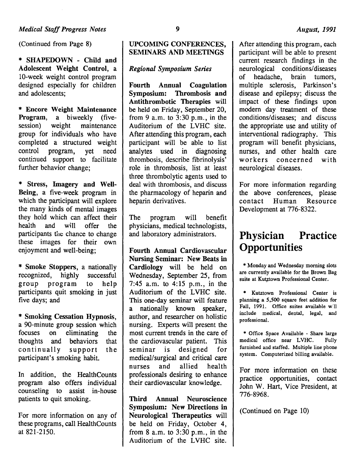(Continued from Page 8)

\* SHAPEDOWN - Child and Adolescent Weight Control, a 10-week weight control program designed especially for children and adolescents;

\* Encore Weight Maintenance Program, a biweekly (fivesession) weight maintenance group for individuals who have completed a structured weight control program, yet need continued support to facilitate further behavior change;

\* Stress, Imagery and Well-Being, a five-week program in which the participant will explore the many kinds of mental images they hold which can affect their health and will offer the participants the chance to change these images for their own enjoyment and well-being;

\* Smoke Stoppers, a nationally recognized, highly successful  $recognized$ , highly group program to help participants quit smoking in just five days; and

\* Smoking Cessation Hypnosis, a 90-minute group session which focuses on eliminating the thoughts and behaviors that continually support the participant's smoking habit.

In addition, the HealthCounts program also offers individual counseling to assist in-house patients to quit smoking.

For more information on any of these programs, call Health Counts at 821-2150.

### UPCOMING CONFERENCES, SEMINARS AND MEETINGS

### *Regional Symposium Series*

Fourth Annual Coagulation Symposium: Thrombosis and Antithrombotic Therapies will be held on Friday, September 20, from 9 a.m. to  $3:30$  p.m., in the Auditorium of the LVHC site. After attending this program, each participant will be able to list analytes used in diagnosing thrombosis, describe fibrinolysis' role in thrombosis, list at least three thrombolytic agents used to deal with thrombosis, and discuss the pharmacology of heparin and heparin derivatives.

The program will benefit physicians, medical technologists, and laboratory administrators.

Fourth Annual Cardiovascular Nursing Seminar: New Beats in Cardiology will be held on Wednesday, September 25, from 7:45 a.m. to 4:15 p.m., in the Auditorium of the LVHC site. This one-day seminar will feature a nationally known speaker, author, and researcher on holistic nursing. Experts will present the most current trends in the care of the cardiovascular patient. This seminar is designed for medical/surgical and critical care nurses and allied health professionals desiring to enhance their cardiovascular knowledge.

Third Annual Neuroscience Symposium: New Directions in Neurological Therapeutics will be held on Friday, October 4, from  $8$  a.m. to  $3:30$  p.m., in the Auditorium of the LVHC site.

After attending this program, each participant will be able to present current research findings in the neurological conditions/diseases of headache, brain tumors, multiple sclerosis, Parkinson's disease and epilepsy; discuss the impact of these findings upon modem day treatment of these conditions/diseases; and discuss the appropriate use and utility of interventional radiography. This program will benefit physicians, nurses, and other health care workers concerned with neurological diseases.

For more information regarding the above conferences, please contact Human Resource Development at 776-8322.

### **Physician Practice Opportunities**

\*Monday and Wednesday morning slots are currently available for the Brown Bag suite at Kutztown Professional Center.

\* Kutztown Professional Center is planning a 5,500 square feet addition for Fall, 1991. Office suites available will include medical, dental, legal, and professional.

\* Office Space Available - Share large medical office near LVHC. Fully furnished and staffed. Multiple line phone system. Computerized billing available.

For more information on these practice opportunities, contact John W. Hart, Vice President, at 776-8968.

(Continued on Page 10)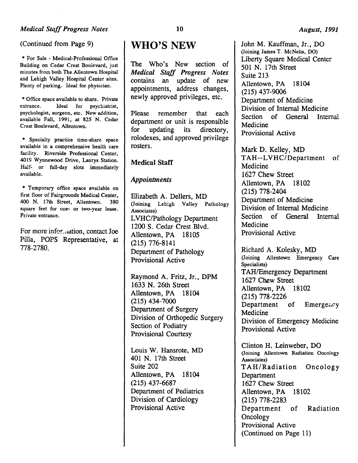(Continued from Page 9)

\* For Sale - Medical-Professional Office Building on Cedar Crest Boulevard, just minutes from both The Allentown Hospital and Lehigh Valley Hospital Center sites. Plenty of parking. Ideal for physician.

• Office space available to share. Private entrance. Ideal for psychiatrist, psychologist, surgeon, etc. New addition, available Fall, 1991, at 825 N. Cedar Crest Boulevard, Allentown.

• Specialty practice time-share space available in a comprehensive health care facility. Riverside Professional Center, 4019 Wynnewood Drive, Laurys Station. Half- or full-day slots immediately available.

\* Temporary office space available on first floor of Fairgrounds Medical Center, 400 N. 17th Street, Allentown. 380 square feet for one- or two-year lease. Private entrance.

For more infor ... ation, contact Joe Pilla, POPS Representative, at 778-2780.

### WHO'S NEW

The Who's New section of *Medical Staff Progress Notes*  contains an update of new appointments, address changes, newly approved privileges, etc.

Please remember that each department or unit is responsible for updating its directory, rolodexes, and approved privilege rosters.

#### Medical Staff

#### *Appointments*

Elizabeth A. Dellers, MD (Joining Lehigh Valley Pathology Associates) LVHC/Pathology Department 1200 S. Cedar Crest Blvd. Allentown, PA 18105 (215) 776-8141 Department of Pathology Provisional Active

Raymond A. Fritz, Jr., DPM 1633 N. 26th Street Allentown, PA 18104 (215) 434-7000 Department of Surgery Division of Orthopedic Surgery Section of Podiatry Provisional Courtesy

Louis W. Hansrote, MD 401 N. 17th Street Suite 202 Allentown, PA 18104 (215) 437-6687 Department of Pediatrics Division of Cardiology Provisional Active

John M. Kauffman, Jr., DO (Joining James T. McNelis, DO) Liberty Square Medical Center 501 N. 17th Street Suite 213 Allentown, PA 18104 (215) 437-9006 Department of Medicine Division of Internal Medicine Section of General Internal Medicine Provisional Active

Mark D. Kelley, MD TAH--LVHC/Department of Medicine 1627 Chew Street Allentown, PA 18102 (215) 778-2404 Department of Medicine Division of Internal Medicine Section of General Internal Medicine Provisional Active

Richard A. Kolesky, MD (Joining Allentown Emergency Care Specialists) TAH/Emergency Department 1627 Chew Street Allentown, PA 18102 (215) 778-2226 Department of Emergency Medicine Division of Emergency Medicine Provisional Active

Clinton H. Leinweber, DO (Joining Allentown Radiation Oncology Associates) TAH/Radiation Oncology Department 1627 Chew Street Allentown, PA 18102 (215) 778-2283 Department of Radiation **Oncology** Provisional Active (Continued on Page 11)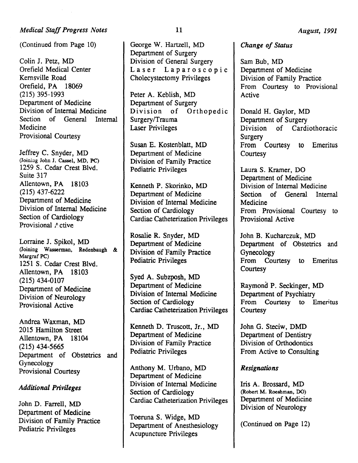(Continued from Page 10)

Colin J. Petz, MD Orefield Medical Center Kernsville Road Orefield, PA 18069 (215) 395-1993 Department of Medicine Division of Internal Medicine Section of General Internal Medicine Provisional Courtesy

Jeffrey C. Snyder, MD (Joiniag John J. Cassel, MD, PC) 1259 S. Cedar Crest Blvd. Suite 317 Allentown, PA 18103 (215) 437-6222 Department of Medicine Division of Internal Medicine Section of Cardiology Provisional Active

Lorraine J. Spikol, MD (Joining Wasserman, Redenbaugh & Margraf PC) 1251 S. Cedar Crest Blvd. Allentown, PA 18103 (215) 434-0107 Department of Medicine Division of Neurology Provisional Active

Andrea Waxman, MD 2015 Hamilton Street Allentown, PA 18104 (215) 434-5665 Department of Obstetrics and Gynecology Provisional Courtesy

#### *Additional Privileges*

John D. Farrell, MD Department of Medicine Division of Family Practice Pediatric Privileges

George W. Hartzell, MD Department of Surgery Division of General Surgery Laser Laparoscopic Cholecystectomy Privileges

Peter A. Keblish, MD Department of Surgery Division of Orthopedic Surgery/Trauma Laser Privileges

Susan E. Kostenblatt, MD Department of Medicine Division of Family Practice Pediatric Privileges

Kenneth P. Skorinko, MD Department of Medicine Division of Internal Medicine Section of Cardiology Cardiac Catheterization Privileges

Rosalie R. Snyder, MD Department of Medicine Division of Family Practice Pediatric Privileges

Syed A. Subzposh, MD Department of Medicine Division of Internal Medicine Section of Cardiology Cardiac Catheterization Privileges

Kenneth D. Truscott, Jr., MD Department of Medicine Division of Family Practice Pediatric Privileges

Anthony M. Urbano, MD Department of Medicine Division of Internal Medicine Section of Cardiology Cardiac Catheterization Privileges

Toeruna S. Widge, MD Department of Anesthesiology Acupuncture Privileges

#### *Change of Status*

Sam Bub, MD Department of Medicine Division of Family Practice From Courtesy to Provisional Active

Donald H. Gaylor, MD Department of Surgery Division of Cardiothoracic Surgery From Courtesy to Emeritus **Courtesy** 

Laura S. Kramer, DO Department of Medicine Division of Internal Medicine Section of General Internal Medicine From Provisional Courtesy to Provisional Active

John B. Kucharczuk, MD Department of Obstetrics and Gynecology From Courtesy to Emeritus **Courtesy** 

Raymond P. Seckinger, MD Department of Psychiatry From Courtesy to Emeritus **Courtesy** 

John G. Steciw, DMD Department of Dentistry Division of Orthodontics From Active to Consulting

#### *Resignations*

Iris A. Brossard, MD (Robert M. Roeshman, DO) Department of Medicine Division of Neurology

(Continued on Page 12)